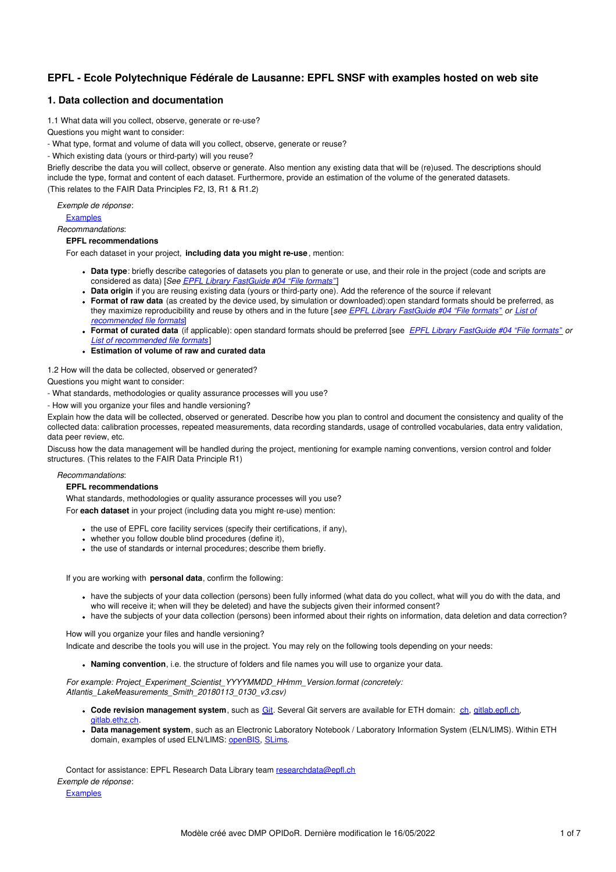# **EPFL - Ecole Polytechnique Fédérale de Lausanne: EPFL SNSF with examples hosted on web site**

# **1. Data collection and documentation**

1.1 What data will you collect, observe, generate or re-use?

Questions you might want to consider:

- What type, format and volume of data will you collect, observe, generate or reuse?

- Which existing data (yours or third-party) will you reuse?

Briefly describe the data you will collect, observe or generate. Also mention any existing data that will be (re)used. The descriptions should include the type, format and content of each dataset. Furthermore, provide an estimation of the volume of the generated datasets. (This relates to the FAIR Data Principles F2, I3, R1 & R1.2)

*Exemple de réponse*:

**[Examples](https://www.epfl.ch/campus/library/alain-test/#snsf_examples_1_1)** 

#### *Recommandations*:

#### **EPFL recommendations**

For each dataset in your project, **including data you might re-use**, mention:

- **Data type**: briefly describe categories of datasets you plan to generate or use, and their role in the project (code and scripts are considered as data) [*See EPFL Library [FastGuide](https://infoscience.epfl.ch/record/265349?&ln=en) #04 "File formats"* ]
- **Data origin** if you are reusing existing data (yours or third-party one). Add the reference of the source if relevant
- **Format of raw data** (as created by the device used, by simulation or downloaded):open standard formats should be preferred, as they maximize [reproducibility](https://researchdata.epfl.ch/wp-content/uploads/2018/05/Recommended_DataFormats_-2018_03_05_Final.pdf) and reuse by others and in the future [*see EPFL Library [FastGuide](https://infoscience.epfl.ch/record/265349?&ln=en) #04 "File formats" or List of recommended file formats*]
- **Format of curated data** (if applicable): open standard formats should be preferred [see *EPFL Library [FastGuide](https://infoscience.epfl.ch/record/265349?&ln=en) #04 "File formats" or List of [recommended](https://researchdata.epfl.ch/wp-content/uploads/2018/05/Recommended_DataFormats_-2018_03_05_Final.pdf) file formats* ]
- **Estimation of volume of raw and curated data**

1.2 How will the data be collected, observed or generated?

Questions you might want to consider:

- What standards, methodologies or quality assurance processes will you use?

- How will you organize your files and handle versioning?

Explain how the data will be collected, observed or generated. Describe how you plan to control and document the consistency and quality of the collected data: calibration processes, repeated measurements, data recording standards, usage of controlled vocabularies, data entry validation, data peer review, etc.

Discuss how the data management will be handled during the project, mentioning for example naming conventions, version control and folder structures. (This relates to the FAIR Data Principle R1)

*Recommandations*:

#### **EPFL recommendations**

What standards, methodologies or quality assurance processes will you use? For **each dataset** in your project (including data you might re-use) mention:

- the use of EPFL core facility services (specify their certifications, if any).
- whether you follow double blind procedures (define it),
- the use of standards or internal procedures; describe them briefly.

If you are working with **personal data**, confirm the following:

- have the subjects of your data collection (persons) been fully informed (what data do you collect, what will you do with the data, and who will receive it; when will they be deleted) and have the subjects given their informed consent?
- have the subjects of your data collection (persons) been informed about their rights on information, data deletion and data correction?

How will you organize your files and handle versioning?

Indicate and describe the tools you will use in the project. You may rely on the following tools depending on your needs:

**Naming convention**, i.e. the structure of folders and file names you will use to organize your data.

*For example: Project\_Experiment\_Scientist\_YYYYMMDD\_HHmm\_Version.format (concretely: Atlantis\_LakeMeasurements\_Smith\_20180113\_0130\_v3.csv)*

- **Code revision management system**, such as [Git](mailto:https://git-scm.com/). Several Git servers are available for ETH domain: [ch](https://c4science.ch/), [gitlab.epfl.ch](http://gitlab.epfl.ch/), [gitlab.ethz.ch](https://gitlab.ethz.ch/).
- **Data management system**, such as an Electronic Laboratory Notebook / Laboratory Information System (ELN/LIMS). Within ETH domain, examples of used ELN/LIMS: [openBIS](https://openbis-eln-lims.ethz.ch/), [SLims](http://lsis.epfl.ch/page-140284-en.html).

Contact for assistance: EPFL Research Data Library team [researchdata@epfl.ch](mailto:researchdata@epfl.ch) *Exemple de réponse*:

**[Examples](https://www.epfl.ch/campus/library/alain-test/#snsf_examples_1_2)**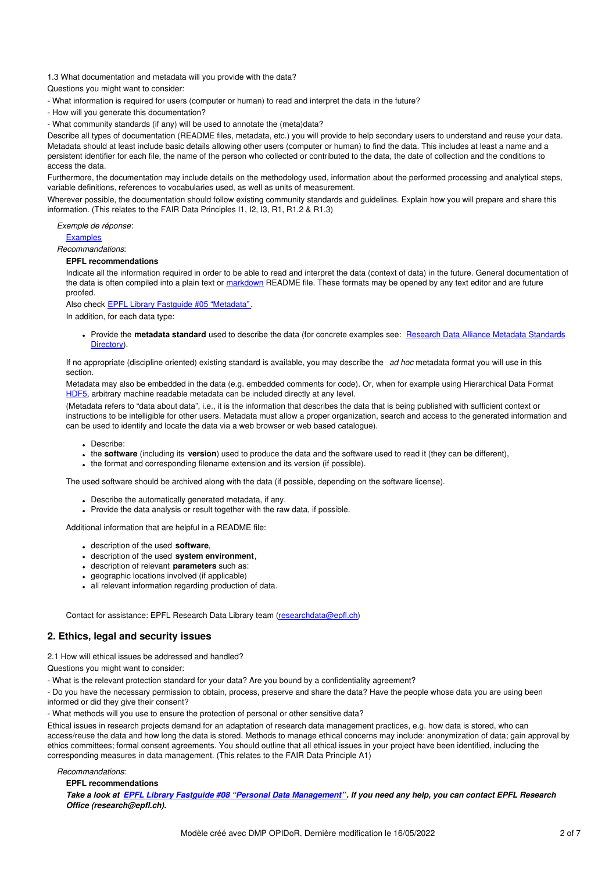1.3 What documentation and metadata will you provide with the data?

Questions you might want to consider:

- What information is required for users (computer or human) to read and interpret the data in the future?

- How will you generate this documentation?

- What community standards (if any) will be used to annotate the (meta)data?

Describe all types of documentation (README files, metadata, etc.) you will provide to help secondary users to understand and reuse your data. Metadata should at least include basic details allowing other users (computer or human) to find the data. This includes at least a name and a persistent identifier for each file, the name of the person who collected or contributed to the data, the date of collection and the conditions to access the data.

Furthermore, the documentation may include details on the methodology used, information about the performed processing and analytical steps, variable definitions, references to vocabularies used, as well as units of measurement.

Wherever possible, the documentation should follow existing community standards and guidelines. Explain how you will prepare and share this information. (This relates to the FAIR Data Principles I1, I2, I3, R1, R1.2 & R1.3)

*Exemple de réponse*:

**[Examples](https://www.epfl.ch/campus/library/alain-test/#snsf_examples_1_3)** 

*Recommandations*:

#### **EPFL recommendations**

Indicate all the information required in order to be able to read and interpret the data (context of data) in the future. General documentation of the data is often compiled into a plain text or [markdown](https://en.wikipedia.org/wiki/Markdown) README file. These formats may be opened by any text editor and are future proofed.

Also check EPFL Library Fastguide #05 ["Metadata"](https://infoscience.epfl.ch/record/265349?&ln=en).

In addition, for each data type:

Provide the **metadata standard** used to describe the data (for concrete examples see: Research Data Alliance Metadata Standards [Directory\).](http://rd-alliance.github.io/metadata-directory/standards/)

If no appropriate (discipline oriented) existing standard is available, you may describe the *ad hoc* metadata format you will use in this section.

Metadata may also be embedded in the data (e.g. embedded comments for code). Or, when for example using Hierarchical Data Format [HDF5](https://portal.hdfgroup.org/display/HDF5/HDF5), arbitrary machine readable metadata can be included directly at any level.

(Metadata refers to "data about data", i.e., it is the information that describes the data that is being published with sufficient context or instructions to be intelligible for other users. Metadata must allow a proper organization, search and access to the generated information and can be used to identify and locate the data via a web browser or web based catalogue).

Describe:

- the **software** (including its **version**) used to produce the data and the software used to read it (they can be different),
- the format and corresponding filename extension and its version (if possible).

The used software should be archived along with the data (if possible, depending on the software license).

- Describe the automatically generated metadata, if any.
- Provide the data analysis or result together with the raw data, if possible.

Additional information that are helpful in a README file:

- description of the used **software**,
- description of the used **system environment**,
- description of relevant **parameters** such as:
- geographic locations involved (if applicable)
- all relevant information regarding production of data.

Contact for assistance: EPFL Research Data Library team [\(researchdata@epfl.ch](mailto:researchdata@epfl.ch))

## **2. Ethics, legal and security issues**

2.1 How will ethical issues be addressed and handled?

Questions you might want to consider:

- What is the relevant protection standard for your data? Are you bound by a confidentiality agreement?

- Do you have the necessary permission to obtain, process, preserve and share the data? Have the people whose data you are using been informed or did they give their consent?

- What methods will you use to ensure the protection of personal or other sensitive data?

Ethical issues in research projects demand for an adaptation of research data management practices, e.g. how data is stored, who can access/reuse the data and how long the data is stored. Methods to manage ethical concerns may include: anonymization of data; gain approval by ethics committees; formal consent agreements. You should outline that all ethical issues in your project have been identified, including the corresponding measures in data management. (This relates to the FAIR Data Principle A1)

*Recommandations*:

**EPFL recommendations**

Take a look at EPFL Library Fastguide #08 "Personal Data [Management"](https://infoscience.epfl.ch/record/265349?&ln=en). If you need any help, you can contact EPFL Research *Office (research@epfl.ch).*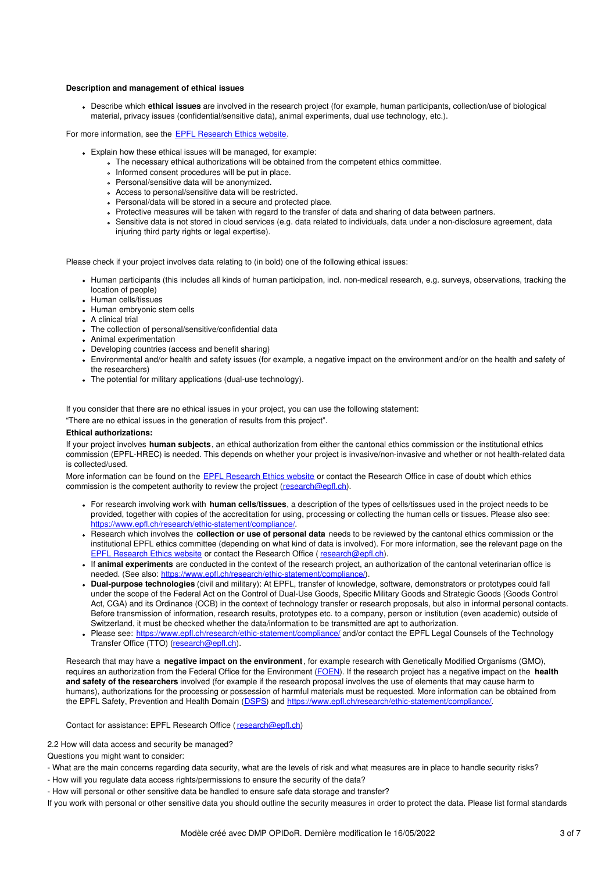### **Description and management of ethical issues**

Describe which **ethical issues** are involved in the research project (for example, human participants, collection/use of biological material, privacy issues (confidential/sensitive data), animal experiments, dual use technology, etc.).

For more information, see the EPFL [Research](https://www.epfl.ch/research/ethic-statement/compliance/) Ethics website.

- Explain how these ethical issues will be managed, for example:
	- The necessary ethical authorizations will be obtained from the competent ethics committee.
	- . Informed consent procedures will be put in place.
	- Personal/sensitive data will be anonymized.
	- Access to personal/sensitive data will be restricted.
	- Personal/data will be stored in a secure and protected place.
	- Protective measures will be taken with regard to the transfer of data and sharing of data between partners.
	- Sensitive data is not stored in cloud services (e.g. data related to individuals, data under a non-disclosure agreement, data injuring third party rights or legal expertise).

Please check if your project involves data relating to (in bold) one of the following ethical issues:

- Human participants (this includes all kinds of human participation, incl. non-medical research, e.g. surveys, observations, tracking the location of people)
- Human cells/tissues
- Human embryonic stem cells
- A clinical trial
- The collection of personal/sensitive/confidential data
- Animal experimentation
- Developing countries (access and benefit sharing)
- Environmental and/or health and safety issues (for example, a negative impact on the environment and/or on the health and safety of the researchers)
- The potential for military applications (dual-use technology).

If you consider that there are no ethical issues in your project, you can use the following statement:

"There are no ethical issues in the generation of results from this project".

#### **Ethical authorizations:**

If your project involves **human subjects**, an ethical authorization from either the cantonal ethics commission or the institutional ethics commission (EPFL-HREC) is needed. This depends on whether your project is invasive/non-invasive and whether or not health-related data is collected/used.

More information can be found on the EPFL [Research](https://www.epfl.ch/research/ethic-statement/compliance/) Ethics website or contact the Research Office in case of doubt which ethics commission is the competent authority to review the project [\(research@epfl.ch](mailto:research@epfl.ch)).

- For research involving work with **human cells/tissues**, a description of the types of cells/tissues used in the project needs to be provided, together with copies of the accreditation for using, processing or collecting the human cells or tissues. Please also see: <https://www.epfl.ch/research/ethic-statement/compliance/>.
- Research which involves the **collection or use of personal data** needs to be reviewed by the cantonal ethics commission or the institutional EPFL ethics committee (depending on what kind of data is involved). For more information, see the relevant page on the EPFL [Research](https://www.epfl.ch/research/ethic-statement/compliance/) Ethics website or contact the Research Office ([research@epfl.ch](mailto:research@epfl.ch)).
- If **animal experiments** are conducted in the context of the research project, an authorization of the cantonal veterinarian office is needed. (See also: <https://www.epfl.ch/research/ethic-statement/compliance/>).
- **Dual-purpose technologies** (civil and military): At EPFL, transfer of knowledge, software, demonstrators or prototypes could fall under the scope of the Federal Act on the Control of Dual-Use Goods, Specific Military Goods and Strategic Goods (Goods Control Act, CGA) and its Ordinance (OCB) in the context of technology transfer or research proposals, but also in informal personal contacts. Before transmission of information, research results, prototypes etc. to a company, person or institution (even academic) outside of Switzerland, it must be checked whether the data/information to be transmitted are apt to authorization.
- Please see: <https://www.epfl.ch/research/ethic-statement/compliance/> and/or contact the EPFL Legal Counsels of the Technology Transfer Office (TTO) [\(research@epfl.ch](mailto:research@epfl.ch)).

Research that may have a **negative impact on the environment**, for example research with Genetically Modified Organisms (GMO), requires an authorization from the Federal Office for the Environment [\(FOEN](http://www.bafu.admin.ch/?lang=en)). If the research project has a negative impact on the **health and safety of the researchers** involved (for example if the research proposal involves the use of elements that may cause harm to humans), authorizations for the processing or possession of harmful materials must be requested. More information can be obtained from the EPFL Safety, Prevention and Health Domain ([DSPS](https://www.epfl.ch/campus/security-safety/en/home/)) and <https://www.epfl.ch/research/ethic-statement/compliance/>.

## Contact for assistance: EPFL Research Office ( [research@epfl.ch](mailto:research@epfl.ch))

#### 2.2 How will data access and security be managed?

Questions you might want to consider:

- What are the main concerns regarding data security, what are the levels of risk and what measures are in place to handle security risks?
- How will you regulate data access rights/permissions to ensure the security of the data?
- How will personal or other sensitive data be handled to ensure safe data storage and transfer?
- If you work with personal or other sensitive data you should outline the security measures in order to protect the data. Please list formal standards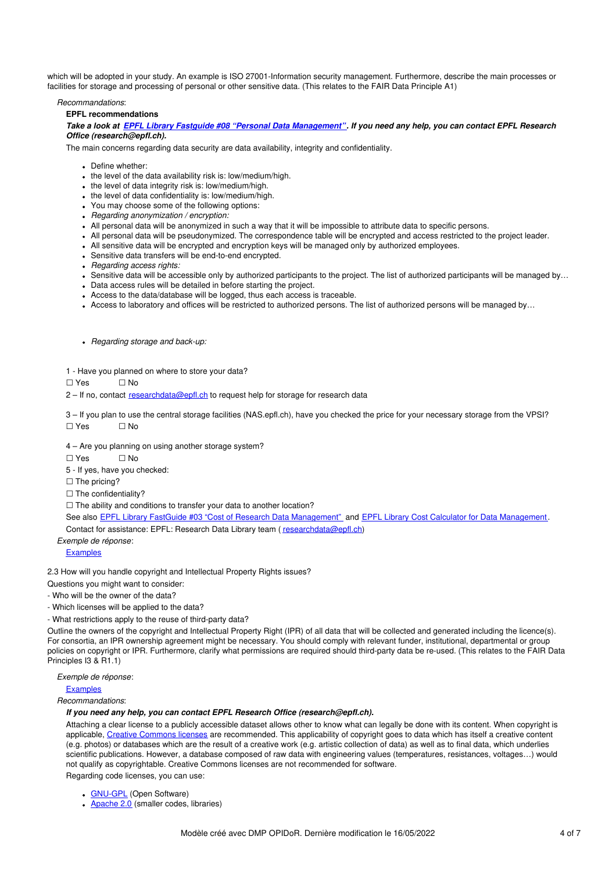which will be adopted in your study. An example is ISO 27001-Information security management. Furthermore, describe the main processes or facilities for storage and processing of personal or other sensitive data. (This relates to the FAIR Data Principle A1)

*Recommandations*:

**EPFL recommendations**

Take a look at **EPFL Library Fastguide #08 "Personal Data [Management"](https://infoscience.epfl.ch/record/265349?&ln=en)**. If you need any help, you can contact EPFL Research *Office (research@epfl.ch).*

The main concerns regarding data security are data availability, integrity and confidentiality.

- . Define whether:
- the level of the data availability risk is: low/medium/high.
- . the level of data integrity risk is: low/medium/high.
- the level of data confidentiality is: low/medium/high.
- You may choose some of the following options:
- *Regarding anonymization / encryption:*
- All personal data will be anonymized in such a way that it will be impossible to attribute data to specific persons.
- All personal data will be pseudonymized. The correspondence table will be encrypted and access restricted to the project leader.
- All sensitive data will be encrypted and encryption keys will be managed only by authorized employees.
- Sensitive data transfers will be end-to-end encrypted.
- *Regarding access rights:*
- Sensitive data will be accessible only by authorized participants to the project. The list of authorized participants will be managed by...
- Data access rules will be detailed in before starting the project.
- Access to the data/database will be logged, thus each access is traceable.
- Access to laboratory and offices will be restricted to authorized persons. The list of authorized persons will be managed by…
- *Regarding storage and back-up:*

1 - Have you planned on where to store your data?

 $\Box$  Yes  $\Box$  No

2 – If no, contact [researchdata@epfl.ch](mailto:researchdata@epfl.ch) to request help for storage for research data

3 – If you plan to use the central storage facilities (NAS.epfl.ch), have you checked the price for your necessary storage from the VPSI? ☐ Yes ☐ No

4 – Are you planning on using another storage system?

☐ Yes ☐ No

5 - If yes, have you checked:

□ The pricing?

□ The confidentiality?

☐ The ability and conditions to transfer your data to another location?

See also EPFL Library FastGuide #03 "Cost of Research Data [Management"](https://infoscience.epfl.ch/record/265349?&ln=en) and EPFL Library Cost Calculator for Data [Management](https://rdmepfl.github.io/costcalc/). Contact for assistance: EPFL: Research Data Library team ([researchdata@epfl.ch](mailto:researchdata@epfl.ch))

*Exemple de réponse*:

**[Examples](https://www.epfl.ch/campus/library/alain-test/#snsf_examples_2_2)** 

2.3 How will you handle copyright and Intellectual Property Rights issues?

Questions you might want to consider:

- Who will be the owner of the data?

- Which licenses will be applied to the data?

- What restrictions apply to the reuse of third-party data?

Outline the owners of the copyright and Intellectual Property Right (IPR) of all data that will be collected and generated including the licence(s). For consortia, an IPR ownership agreement might be necessary. You should comply with relevant funder, institutional, departmental or group policies on copyright or IPR. Furthermore, clarify what permissions are required should third-party data be re-used. (This relates to the FAIR Data Principles I3 & R1.1)

*Exemple de réponse*:

**[Examples](https://www.epfl.ch/campus/library/alain-test/#snsf_examples_2_3)** 

*Recommandations*:

### *If you need any help, you can contact EPFL Research Office (research@epfl.ch).*

Attaching a clear license to a publicly accessible dataset allows other to know what can legally be done with its content. When copyright is applicable, Creative [Commons](https://creativecommons.org/) licenses are recommended. This applicability of copyright goes to data which has itself a creative content (e.g. photos) or databases which are the result of a creative work (e.g. artistic collection of data) as well as to final data, which underlies scientific publications. However, a database composed of raw data with engineering values (temperatures, resistances, voltages…) would not qualify as copyrightable. Creative Commons licenses are not recommended for software.

Regarding code licenses, you can use:

- [GNU-GPL](https://www.gnu.org/licenses/gpl-3.0.fr.html) (Open Software)
- [Apache](http://www.apache.org/licenses/) 2.0 (smaller codes, libraries)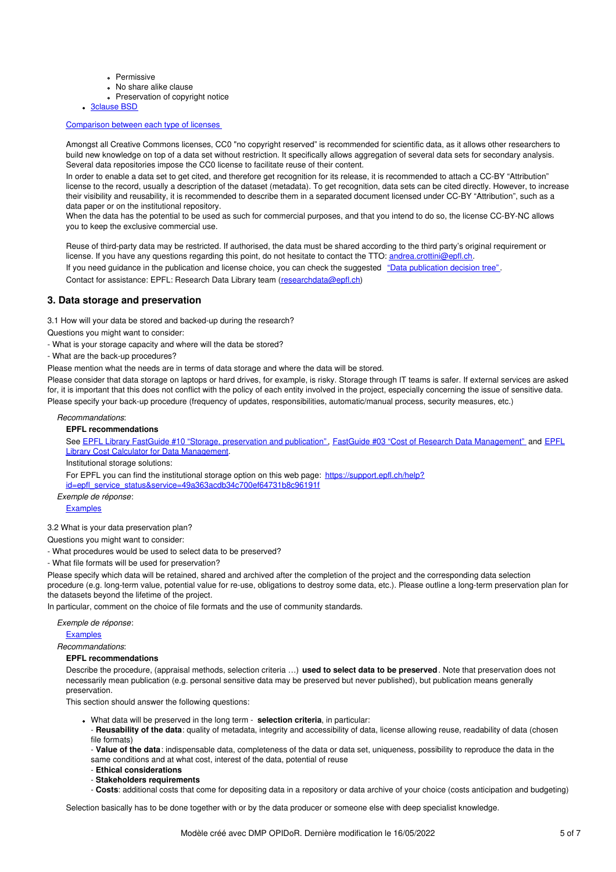- Permissive
- No share alike clause
- Preservation of copyright notice

• [3clause](https://opensource.org/licenses/BSD-3-Clause) BSD

#### [Comparison](https://snyk.io/blog/mit-apache-bsd-fairest-of-them-all) between each type of licenses

Amongst all Creative Commons licenses, CC0 "no copyright reserved" is recommended for scientific data, as it allows other researchers to build new knowledge on top of a data set without restriction. It specifically allows aggregation of several data sets for secondary analysis. Several data repositories impose the CC0 license to facilitate reuse of their content.

In order to enable a data set to get cited, and therefore get recognition for its release, it is recommended to attach a CC-BY "Attribution" license to the record, usually a description of the dataset (metadata). To get recognition, data sets can be cited directly. However, to increase their visibility and reusability, it is recommended to describe them in a separated document licensed under CC-BY "Attribution", such as a data paper or on the institutional repository.

When the data has the potential to be used as such for commercial purposes, and that you intend to do so, the license CC-BY-NC allows you to keep the exclusive commercial use.

Reuse of third-party data may be restricted. If authorised, the data must be shared according to the third party's original requirement or license. If you have any questions regarding this point, do not hesitate to contact the TTO: [andrea.crottini@epfl.ch](mailto:andrea.crottini@epfl.ch). If you need guidance in the publication and license choice, you can check the suggested "Data [publication](https://infoscience.epfl.ch/record/230281) decision tree". Contact for assistance: EPFL: Research Data Library team ([researchdata@epfl.ch](mailto:researchdata@epfl.ch))

## **3. Data storage and preservation**

3.1 How will your data be stored and backed-up during the research?

Questions you might want to consider:

- What is your storage capacity and where will the data be stored?

- What are the back-up procedures?

Please mention what the needs are in terms of data storage and where the data will be stored.

Please consider that data storage on laptops or hard drives, for example, is risky. Storage through IT teams is safer. If external services are asked for, it is important that this does not conflict with the policy of each entity involved in the project, especially concerning the issue of sensitive data. Please specify your back-up procedure (frequency of updates, responsibilities, automatic/manual process, security measures, etc.)

*Recommandations*:

#### **EPFL recommendations**

See EPFL Library FastGuide #10 "Storage, [preservation](https://infoscience.epfl.ch/record/265349?&ln=en) and publication", FastGuide #03 "Cost of Research Data [Management"](https://rdmepfl.github.io/costcalc/) and EPFL Library Cost Calculator for Data Management.

Institutional storage solutions:

For EPFL you can find the institutional storage option on this web page: https://support.epfl.ch/help?

[id=epfl\\_service\\_status&service=49a363acdb34c700ef64731b8c96191f](https://support.epfl.ch/help?id=epfl_service_status&service=49a363acdb34c700ef64731b8c96191f)

*Exemple de réponse*:

**[Examples](https://www.epfl.ch/campus/library/alain-test/#snsf_examples_3_1)** 

3.2 What is your data preservation plan?

Questions you might want to consider:

- What procedures would be used to select data to be preserved?

- What file formats will be used for preservation?

Please specify which data will be retained, shared and archived after the completion of the project and the corresponding data selection

procedure (e.g. long-term value, potential value for re-use, obligations to destroy some data, etc.). Please outline a long-term preservation plan for the datasets beyond the lifetime of the project.

In particular, comment on the choice of file formats and the use of community standards.

*Exemple de réponse*:

**[Examples](https://www.epfl.ch/campus/library/alain-test/#snsf_examples_3_2)** 

*Recommandations*:

#### **EPFL recommendations**

Describe the procedure, (appraisal methods, selection criteria …) **used to select data to be preserved**. Note that preservation does not necessarily mean publication (e.g. personal sensitive data may be preserved but never published), but publication means generally preservation.

This section should answer the following questions:

- What data will be preserved in the long term **selection criteria**, in particular:
	- **Reusability of the data**: quality of metadata, integrity and accessibility of data, license allowing reuse, readability of data (chosen file formats)

- **Value of the data**: indispensable data, completeness of the data or data set, uniqueness, possibility to reproduce the data in the same conditions and at what cost, interest of the data, potential of reuse

- **Ethical considerations**
- **Stakeholders requirements**

- **Costs**: additional costs that come for depositing data in a repository or data archive of your choice (costs anticipation and budgeting)

Selection basically has to be done together with or by the data producer or someone else with deep specialist knowledge.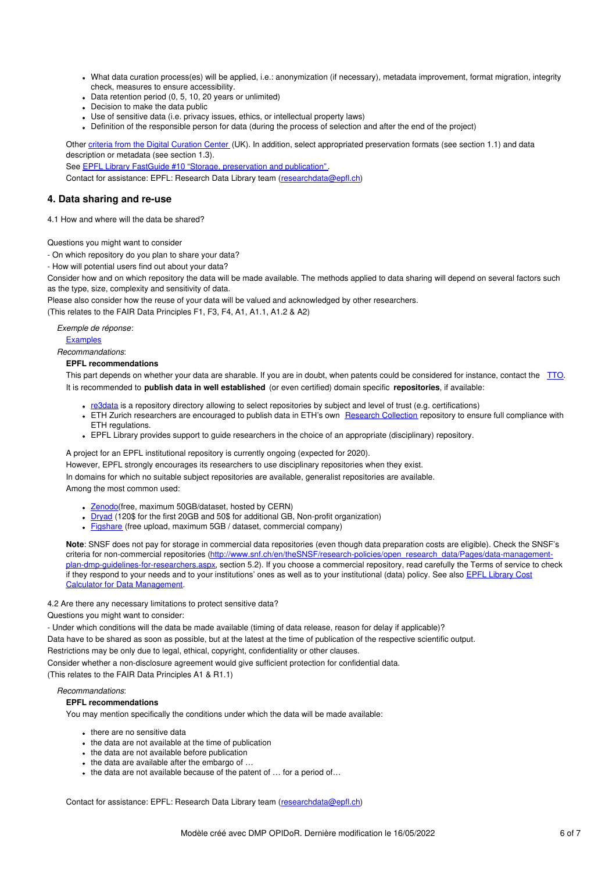- What data curation process(es) will be applied, i.e.: anonymization (if necessary), metadata improvement, format migration, integrity check, measures to ensure accessibility.
- Data retention period (0, 5, 10, 20 years or unlimited)
- Decision to make the data public
- Use of sensitive data (i.e. privacy issues, ethics, or intellectual property laws)
- Definition of the responsible person for data (during the process of selection and after the end of the project)

Other criteria from the Digital [Curation](http://www.dcc.ac.uk/resources/how-guides/appraise-select-data) Center (UK). In addition, select appropriated preservation formats (see section 1.1) and data description or metadata (see section 1.3).

See EPFL Library FastGuide #10 "Storage, [preservation](https://infoscience.epfl.ch/record/265349?&ln=en) and publication" .

Contact for assistance: EPFL: Research Data Library team ([researchdata@epfl.ch](mailto:researchdata@epfl.ch))

## **4. Data sharing and re-use**

4.1 How and where will the data be shared?

Questions you might want to consider

- On which repository do you plan to share your data?

- How will potential users find out about your data?

Consider how and on which repository the data will be made available. The methods applied to data sharing will depend on several factors such as the type, size, complexity and sensitivity of data.

Please also consider how the reuse of your data will be valued and acknowledged by other researchers.

(This relates to the FAIR Data Principles F1, F3, F4, A1, A1.1, A1.2 & A2)

*Exemple de réponse*:

**[Examples](https://www.epfl.ch/campus/library/alain-test/#snsf_examples_4_1)** 

*Recommandations*:

### **EPFL recommendations**

This part depends on whether your data are sharable. If you are in doubt, when patents could be considered for instance, contact the [TTO](https://tto.epfl.ch/). It is recommended to **publish data in well established** (or even certified) domain specific **repositories**, if available:

- [re3data](http://www.re3data.org/browse/by-subject/) is a repository directory allowing to select repositories by subject and level of trust (e.g. certifications)
- ETH Zurich researchers are encouraged to publish data in ETH's own Research [Collection](https://www.research-collection.ethz.ch/) repository to ensure full compliance with ETH regulations.
- EPFL Library provides support to guide researchers in the choice of an appropriate (disciplinary) repository.

A project for an EPFL institutional repository is currently ongoing (expected for 2020).

However, EPFL strongly encourages its researchers to use disciplinary repositories when they exist.

In domains for which no suitable subject repositories are available, generalist repositories are available.

Among the most common used:

- [Zenodo](https://zenodo.org/)(free, maximum 50GB/dataset, hosted by CERN)
- [Dryad](http://datadryad.org/) (120\$ for the first 20GB and 50\$ for additional GB, Non-profit organization)
- [Figshare](https://figshare.com/) (free upload, maximum 5GB / dataset, commercial company)

**Note**: SNSF does not pay for storage in commercial data repositories (even though data preparation costs are eligible). Check the SNSF's criteria for non-commercial repositories [\(http://www.snf.ch/en/theSNSF/research-policies/open\\_research\\_data/Pages/data-management](http://www.snf.ch/en/theSNSF/research-policies/open_research_data/Pages/data-management-plan-dmp-guidelines-for-researchers.aspx)plan-dmp-quidelines-for-researchers.aspx, section 5.2). If you choose a commercial repository, read carefully the Terms of service to check if they respond to your needs and to your institutions' ones as well as to your institutional (data) policy. See also EPFL Library Cost Calculator for Data [Management.](https://rdmepfl.github.io/costcalc/)

4.2 Are there any necessary limitations to protect sensitive data?

Questions you might want to consider:

- Under which conditions will the data be made available (timing of data release, reason for delay if applicable)?

Data have to be shared as soon as possible, but at the latest at the time of publication of the respective scientific output.

Restrictions may be only due to legal, ethical, copyright, confidentiality or other clauses.

Consider whether a non-disclosure agreement would give sufficient protection for confidential data.

(This relates to the FAIR Data Principles A1 & R1.1)

*Recommandations*:

#### **EPFL recommendations**

You may mention specifically the conditions under which the data will be made available:

- there are no sensitive data
- the data are not available at the time of publication
- the data are not available before publication
- $\bullet$  the data are available after the embargo of  $\dots$
- the data are not available because of the patent of ... for a period of...

Contact for assistance: EPFL: Research Data Library team ([researchdata@epfl.ch](mailto:researchdata@epfl.ch))